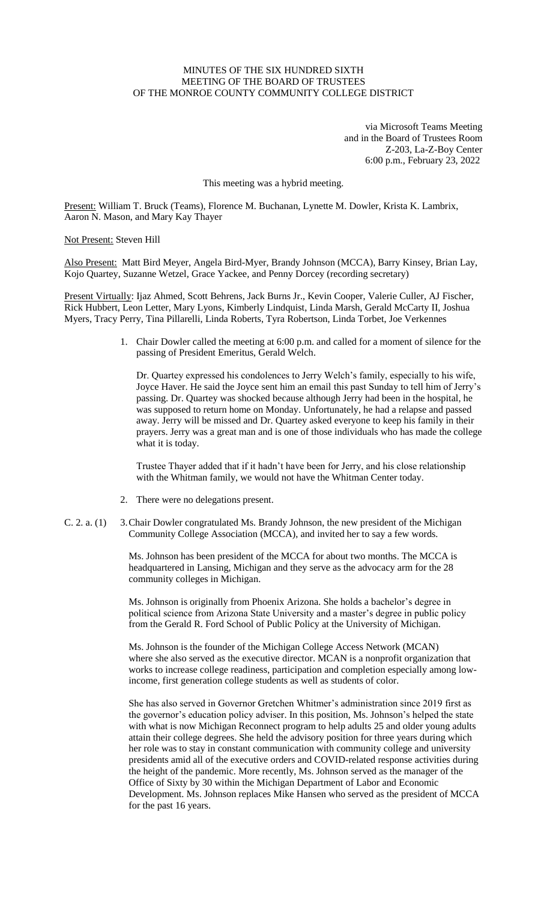# MINUTES OF THE SIX HUNDRED SIXTH MEETING OF THE BOARD OF TRUSTEES OF THE MONROE COUNTY COMMUNITY COLLEGE DISTRICT

via Microsoft Teams Meeting and in the Board of Trustees Room Z-203, La-Z-Boy Center 6:00 p.m., February 23, 2022

This meeting was a hybrid meeting.

Present: William T. Bruck (Teams), Florence M. Buchanan, Lynette M. Dowler, Krista K. Lambrix, Aaron N. Mason, and Mary Kay Thayer

Not Present: Steven Hill

Also Present: Matt Bird Meyer, Angela Bird-Myer, Brandy Johnson (MCCA), Barry Kinsey, Brian Lay, Kojo Quartey, Suzanne Wetzel, Grace Yackee, and Penny Dorcey (recording secretary)

Present Virtually: Ijaz Ahmed, Scott Behrens, Jack Burns Jr., Kevin Cooper, Valerie Culler, AJ Fischer, Rick Hubbert, Leon Letter, Mary Lyons, Kimberly Lindquist, Linda Marsh, Gerald McCarty II, Joshua Myers, Tracy Perry, Tina Pillarelli, Linda Roberts, Tyra Robertson, Linda Torbet, Joe Verkennes

> 1. Chair Dowler called the meeting at 6:00 p.m. and called for a moment of silence for the passing of President Emeritus, Gerald Welch.

Dr. Quartey expressed his condolences to Jerry Welch's family, especially to his wife, Joyce Haver. He said the Joyce sent him an email this past Sunday to tell him of Jerry's passing. Dr. Quartey was shocked because although Jerry had been in the hospital, he was supposed to return home on Monday. Unfortunately, he had a relapse and passed away. Jerry will be missed and Dr. Quartey asked everyone to keep his family in their prayers. Jerry was a great man and is one of those individuals who has made the college what it is today.

Trustee Thayer added that if it hadn't have been for Jerry, and his close relationship with the Whitman family, we would not have the Whitman Center today.

- 2. There were no delegations present.
- C. 2. a. (1) 3.Chair Dowler congratulated Ms. Brandy Johnson, the new president of the Michigan Community College Association (MCCA), and invited her to say a few words.

Ms. Johnson has been president of the MCCA for about two months. The MCCA is headquartered in Lansing, Michigan and they serve as the advocacy arm for the 28 community colleges in Michigan.

Ms. Johnson is originally from Phoenix Arizona. She holds a bachelor's degree in political science from Arizona State University and a master's degree in public policy from the Gerald R. Ford School of Public Policy at the University of Michigan.

Ms. Johnson is the founder of the Michigan College Access Network (MCAN) where she also served as the executive director. MCAN is a nonprofit organization that works to increase college readiness, participation and completion especially among lowincome, first generation college students as well as students of color.

She has also served in Governor Gretchen Whitmer's administration since 2019 first as the governor's education policy adviser. In this position, Ms. Johnson's helped the state with what is now Michigan Reconnect program to help adults 25 and older young adults attain their college degrees. She held the advisory position for three years during which her role was to stay in constant communication with community college and university presidents amid all of the executive orders and COVID-related response activities during the height of the pandemic. More recently, Ms. Johnson served as the manager of the Office of Sixty by 30 within the Michigan Department of Labor and Economic Development. Ms. Johnson replaces Mike Hansen who served as the president of MCCA for the past 16 years.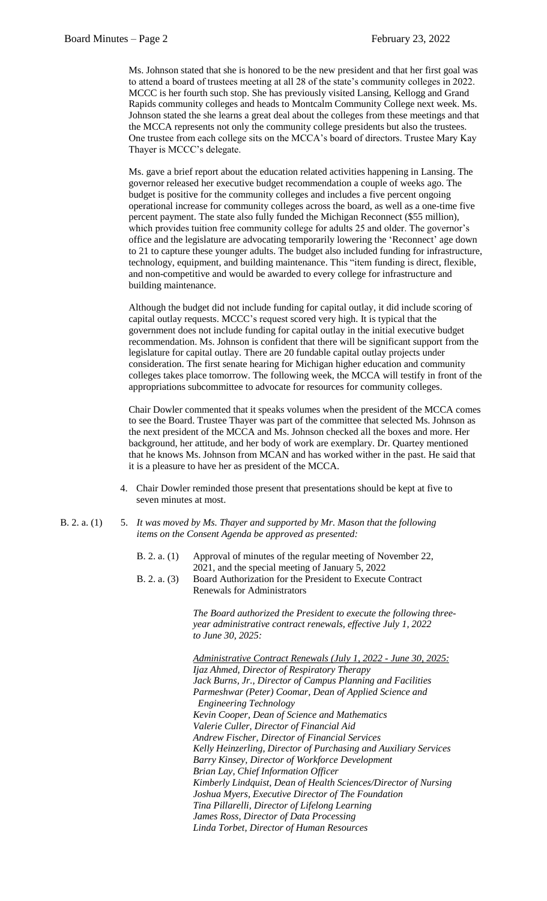Ms. Johnson stated that she is honored to be the new president and that her first goal was to attend a board of trustees meeting at all 28 of the state's community colleges in 2022. MCCC is her fourth such stop. She has previously visited Lansing, Kellogg and Grand Rapids community colleges and heads to Montcalm Community College next week. Ms. Johnson stated the she learns a great deal about the colleges from these meetings and that the MCCA represents not only the community college presidents but also the trustees. One trustee from each college sits on the MCCA's board of directors. Trustee Mary Kay Thayer is MCCC's delegate.

Ms. gave a brief report about the education related activities happening in Lansing. The governor released her executive budget recommendation a couple of weeks ago. The budget is positive for the community colleges and includes a five percent ongoing operational increase for community colleges across the board, as well as a one-time five percent payment. The state also fully funded the Michigan Reconnect (\$55 million), which provides tuition free community college for adults 25 and older. The governor's office and the legislature are advocating temporarily lowering the 'Reconnect' age down to 21 to capture these younger adults. The budget also included funding for infrastructure, technology, equipment, and building maintenance. This "item funding is direct, flexible, and non-competitive and would be awarded to every college for infrastructure and building maintenance.

Although the budget did not include funding for capital outlay, it did include scoring of capital outlay requests. MCCC's request scored very high. It is typical that the government does not include funding for capital outlay in the initial executive budget recommendation. Ms. Johnson is confident that there will be significant support from the legislature for capital outlay. There are 20 fundable capital outlay projects under consideration. The first senate hearing for Michigan higher education and community colleges takes place tomorrow. The following week, the MCCA will testify in front of the appropriations subcommittee to advocate for resources for community colleges.

Chair Dowler commented that it speaks volumes when the president of the MCCA comes to see the Board. Trustee Thayer was part of the committee that selected Ms. Johnson as the next president of the MCCA and Ms. Johnson checked all the boxes and more. Her background, her attitude, and her body of work are exemplary. Dr. Quartey mentioned that he knows Ms. Johnson from MCAN and has worked wither in the past. He said that it is a pleasure to have her as president of the MCCA.

- 4. Chair Dowler reminded those present that presentations should be kept at five to seven minutes at most.
- B. 2. a. (1) 5. *It was moved by Ms. Thayer and supported by Mr. Mason that the following items on the Consent Agenda be approved as presented:*

| B. 2. a. (1) Approval of minutes of the regular meeting of November 22, |
|-------------------------------------------------------------------------|
| 2021, and the special meeting of January 5, 2022                        |

B. 2. a. (3) Board Authorization for the President to Execute Contract Renewals for Administrators

> *The Board authorized the President to execute the following threeyear administrative contract renewals, effective July 1, 2022 to June 30, 2025:*

> *Administrative Contract Renewals (July 1, 2022 - June 30, 2025: Ijaz Ahmed, Director of Respiratory Therapy Jack Burns, Jr., Director of Campus Planning and Facilities Parmeshwar (Peter) Coomar, Dean of Applied Science and Engineering Technology Kevin Cooper, Dean of Science and Mathematics Valerie Culler, Director of Financial Aid Andrew Fischer, Director of Financial Services Kelly Heinzerling, Director of Purchasing and Auxiliary Services Barry Kinsey, Director of Workforce Development Brian Lay, Chief Information Officer Kimberly Lindquist, Dean of Health Sciences/Director of Nursing Joshua Myers, Executive Director of The Foundation Tina Pillarelli, Director of Lifelong Learning James Ross, Director of Data Processing Linda Torbet, Director of Human Resources*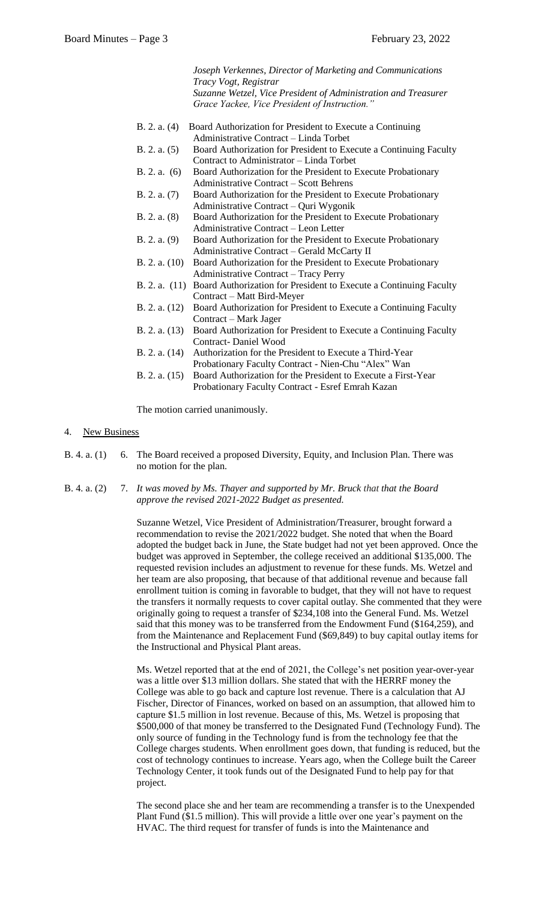|                 | Joseph Verkennes, Director of Marketing and Communications        |
|-----------------|-------------------------------------------------------------------|
|                 | Tracy Vogt, Registrar                                             |
|                 | Suzanne Wetzel, Vice President of Administration and Treasurer    |
|                 | Grace Yackee, Vice President of Instruction."                     |
|                 |                                                                   |
| B. 2. a. (4)    | Board Authorization for President to Execute a Continuing         |
|                 | Administrative Contract – Linda Torbet                            |
| B. 2. a. (5)    | Board Authorization for President to Execute a Continuing Faculty |
|                 | Contract to Administrator - Linda Torbet                          |
| B. 2. a. (6)    | Board Authorization for the President to Execute Probationary     |
|                 | Administrative Contract – Scott Behrens                           |
| B. 2. a. (7)    | Board Authorization for the President to Execute Probationary     |
|                 | Administrative Contract - Quri Wygonik                            |
| B. 2. a. (8)    | Board Authorization for the President to Execute Probationary     |
|                 | Administrative Contract – Leon Letter                             |
| B. 2. a. (9)    | Board Authorization for the President to Execute Probationary     |
|                 | Administrative Contract - Gerald McCarty II                       |
| B. 2. a. $(10)$ | Board Authorization for the President to Execute Probationary     |
|                 | Administrative Contract – Tracy Perry                             |
| B. 2. a. $(11)$ | Board Authorization for President to Execute a Continuing Faculty |
|                 | Contract – Matt Bird-Meyer                                        |
| B. 2. a. $(12)$ | Board Authorization for President to Execute a Continuing Faculty |
|                 | Contract – Mark Jager                                             |
| B. 2. a. $(13)$ | Board Authorization for President to Execute a Continuing Faculty |
|                 | <b>Contract-Daniel Wood</b>                                       |
| B. 2. a. $(14)$ | Authorization for the President to Execute a Third-Year           |
|                 | Probationary Faculty Contract - Nien-Chu "Alex" Wan               |
| B. 2. a. $(15)$ | Board Authorization for the President to Execute a First-Year     |
|                 | Probationary Faculty Contract - Esref Emrah Kazan                 |
|                 |                                                                   |

The motion carried unanimously.

### 4. New Business

- B. 4. a. (1) 6. The Board received a proposed Diversity, Equity, and Inclusion Plan. There was no motion for the plan.
- B. 4. a. (2) 7. *It was moved by Ms. Thayer and supported by Mr. Bruck that that the Board approve the revised 2021-2022 Budget as presented.*

Suzanne Wetzel, Vice President of Administration/Treasurer, brought forward a recommendation to revise the 2021/2022 budget. She noted that when the Board adopted the budget back in June, the State budget had not yet been approved. Once the budget was approved in September, the college received an additional \$135,000. The requested revision includes an adjustment to revenue for these funds. Ms. Wetzel and her team are also proposing, that because of that additional revenue and because fall enrollment tuition is coming in favorable to budget, that they will not have to request the transfers it normally requests to cover capital outlay. She commented that they were originally going to request a transfer of \$234,108 into the General Fund. Ms. Wetzel said that this money was to be transferred from the Endowment Fund (\$164,259), and from the Maintenance and Replacement Fund (\$69,849) to buy capital outlay items for the Instructional and Physical Plant areas.

Ms. Wetzel reported that at the end of 2021, the College's net position year-over-year was a little over \$13 million dollars. She stated that with the HERRF money the College was able to go back and capture lost revenue. There is a calculation that AJ Fischer, Director of Finances, worked on based on an assumption, that allowed him to capture \$1.5 million in lost revenue. Because of this, Ms. Wetzel is proposing that \$500,000 of that money be transferred to the Designated Fund (Technology Fund). The only source of funding in the Technology fund is from the technology fee that the College charges students. When enrollment goes down, that funding is reduced, but the cost of technology continues to increase. Years ago, when the College built the Career Technology Center, it took funds out of the Designated Fund to help pay for that project.

The second place she and her team are recommending a transfer is to the Unexpended Plant Fund (\$1.5 million). This will provide a little over one year's payment on the HVAC. The third request for transfer of funds is into the Maintenance and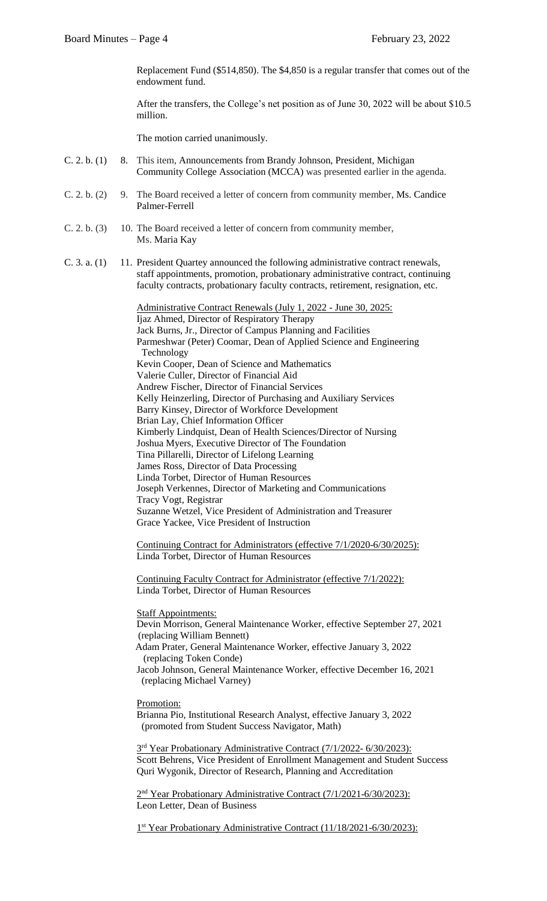Replacement Fund (\$514,850). The \$4,850 is a regular transfer that comes out of the endowment fund.

After the transfers, the College's net position as of June 30, 2022 will be about \$10.5 million.

The motion carried unanimously.

- C. 2. b. (1) 8. This item, Announcements from Brandy Johnson, President, Michigan Community College Association (MCCA) was presented earlier in the agenda.
- C. 2. b. (2) 9. The Board received a letter of concern from community member, Ms. Candice Palmer-Ferrell
- C. 2. b. (3) 10. The Board received a letter of concern from community member, Ms. Maria Kay
- C. 3. a. (1) 11. President Quartey announced the following administrative contract renewals, staff appointments, promotion, probationary administrative contract, continuing faculty contracts, probationary faculty contracts, retirement, resignation, etc.

Administrative Contract Renewals (July 1, 2022 - June 30, 2025: Ijaz Ahmed, Director of Respiratory Therapy Jack Burns, Jr., Director of Campus Planning and Facilities Parmeshwar (Peter) Coomar, Dean of Applied Science and Engineering Technology Kevin Cooper, Dean of Science and Mathematics Valerie Culler, Director of Financial Aid Andrew Fischer, Director of Financial Services Kelly Heinzerling, Director of Purchasing and Auxiliary Services Barry Kinsey, Director of Workforce Development Brian Lay, Chief Information Officer Kimberly Lindquist, Dean of Health Sciences/Director of Nursing Joshua Myers, Executive Director of The Foundation Tina Pillarelli, Director of Lifelong Learning James Ross, Director of Data Processing Linda Torbet, Director of Human Resources Joseph Verkennes, Director of Marketing and Communications Tracy Vogt, Registrar Suzanne Wetzel, Vice President of Administration and Treasurer Grace Yackee, Vice President of Instruction

Continuing Contract for Administrators (effective 7/1/2020-6/30/2025): Linda Torbet, Director of Human Resources

Continuing Faculty Contract for Administrator (effective 7/1/2022): Linda Torbet, Director of Human Resources

**Staff Appointments:** 

Devin Morrison, General Maintenance Worker, effective September 27, 2021 (replacing William Bennett)

 Adam Prater, General Maintenance Worker, effective January 3, 2022 (replacing Token Conde)

Jacob Johnson, General Maintenance Worker, effective December 16, 2021 (replacing Michael Varney)

# Promotion:

Brianna Pio, Institutional Research Analyst, effective January 3, 2022 (promoted from Student Success Navigator, Math)

 3 3<sup>rd</sup> Year Probationary Administrative Contract (7/1/2022- 6/30/2023): Scott Behrens, Vice President of Enrollment Management and Student Success Quri Wygonik, Director of Research, Planning and Accreditation

 2 2<sup>nd</sup> Year Probationary Administrative Contract (7/1/2021-6/30/2023): Leon Letter, Dean of Business

 $1$ 1<sup>st</sup> Year Probationary Administrative Contract (11/18/2021-6/30/2023):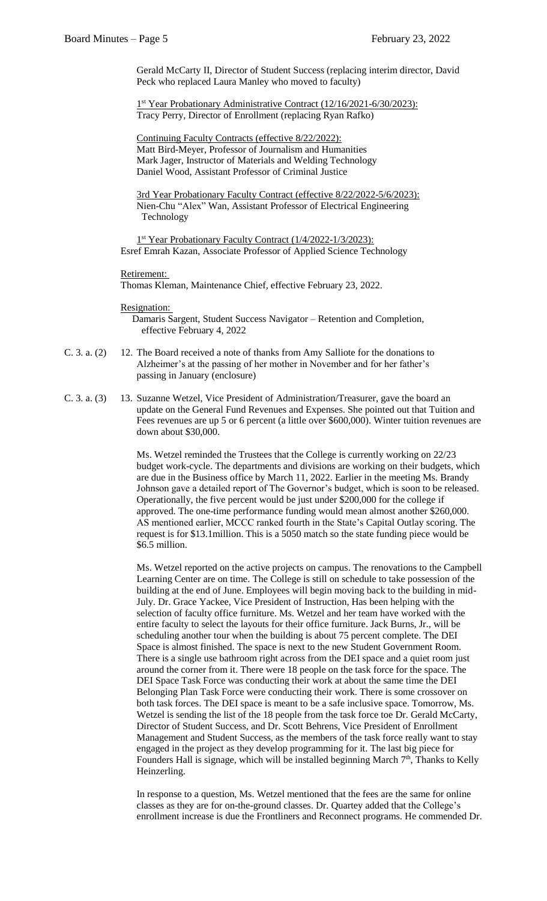Gerald McCarty II, Director of Student Success (replacing interim director, David Peck who replaced Laura Manley who moved to faculty)

1<sup>st</sup> Year Probationary Administrative Contract (12/16/2021-6/30/2023): Tracy Perry, Director of Enrollment (replacing Ryan Rafko)

 Continuing Faculty Contracts (effective 8/22/2022): Matt Bird-Meyer, Professor of Journalism and Humanities Mark Jager, Instructor of Materials and Welding Technology Daniel Wood, Assistant Professor of Criminal Justice

 3rd Year Probationary Faculty Contract (effective 8/22/2022-5/6/2023): Nien-Chu "Alex" Wan, Assistant Professor of Electrical Engineering Technology

 $1$ 1<sup>st</sup> Year Probationary Faculty Contract (1/4/2022-1/3/2023): Esref Emrah Kazan, Associate Professor of Applied Science Technology

#### Retirement:

Thomas Kleman, Maintenance Chief, effective February 23, 2022.

#### Resignation:

 Damaris Sargent, Student Success Navigator – Retention and Completion, effective February 4, 2022

- C. 3. a. (2) 12. The Board received a note of thanks from Amy Salliote for the donations to Alzheimer's at the passing of her mother in November and for her father's passing in January (enclosure)
- C. 3. a. (3) 13. Suzanne Wetzel, Vice President of Administration/Treasurer, gave the board an update on the General Fund Revenues and Expenses. She pointed out that Tuition and Fees revenues are up 5 or 6 percent (a little over \$600,000). Winter tuition revenues are down about \$30,000.

Ms. Wetzel reminded the Trustees that the College is currently working on 22/23 budget work-cycle. The departments and divisions are working on their budgets, which are due in the Business office by March 11, 2022. Earlier in the meeting Ms. Brandy Johnson gave a detailed report of The Governor's budget, which is soon to be released. Operationally, the five percent would be just under \$200,000 for the college if approved. The one-time performance funding would mean almost another \$260,000. AS mentioned earlier, MCCC ranked fourth in the State's Capital Outlay scoring. The request is for \$13.1million. This is a 5050 match so the state funding piece would be \$6.5 million.

Ms. Wetzel reported on the active projects on campus. The renovations to the Campbell Learning Center are on time. The College is still on schedule to take possession of the building at the end of June. Employees will begin moving back to the building in mid-July. Dr. Grace Yackee, Vice President of Instruction, Has been helping with the selection of faculty office furniture. Ms. Wetzel and her team have worked with the entire faculty to select the layouts for their office furniture. Jack Burns, Jr., will be scheduling another tour when the building is about 75 percent complete. The DEI Space is almost finished. The space is next to the new Student Government Room. There is a single use bathroom right across from the DEI space and a quiet room just around the corner from it. There were 18 people on the task force for the space. The DEI Space Task Force was conducting their work at about the same time the DEI Belonging Plan Task Force were conducting their work. There is some crossover on both task forces. The DEI space is meant to be a safe inclusive space. Tomorrow, Ms. Wetzel is sending the list of the 18 people from the task force toe Dr. Gerald McCarty, Director of Student Success, and Dr. Scott Behrens, Vice President of Enrollment Management and Student Success, as the members of the task force really want to stay engaged in the project as they develop programming for it. The last big piece for Founders Hall is signage, which will be installed beginning March  $7<sup>th</sup>$ , Thanks to Kelly Heinzerling.

In response to a question, Ms. Wetzel mentioned that the fees are the same for online classes as they are for on-the-ground classes. Dr. Quartey added that the College's enrollment increase is due the Frontliners and Reconnect programs. He commended Dr.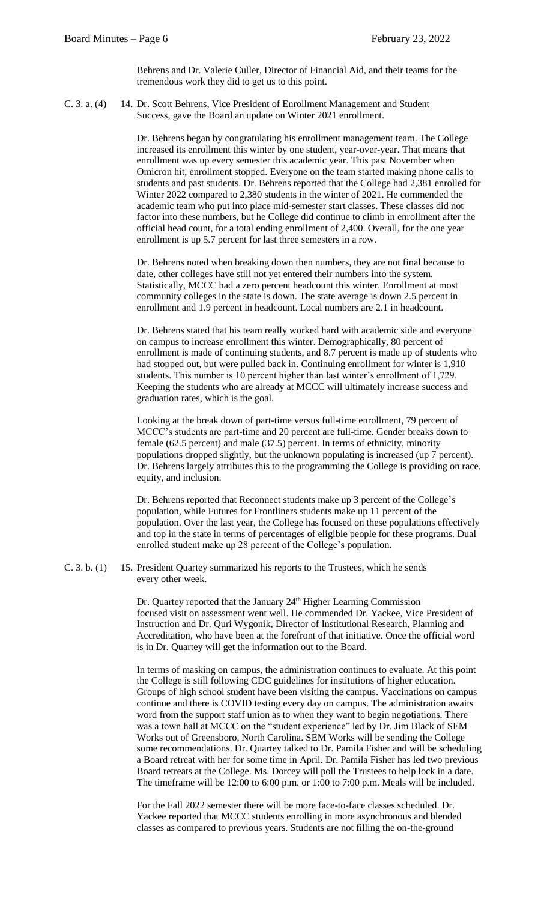Behrens and Dr. Valerie Culler, Director of Financial Aid, and their teams for the tremendous work they did to get us to this point.

C. 3. a. (4) 14. Dr. Scott Behrens, Vice President of Enrollment Management and Student Success, gave the Board an update on Winter 2021 enrollment.

> Dr. Behrens began by congratulating his enrollment management team. The College increased its enrollment this winter by one student, year-over-year. That means that enrollment was up every semester this academic year. This past November when Omicron hit, enrollment stopped. Everyone on the team started making phone calls to students and past students. Dr. Behrens reported that the College had 2,381 enrolled for Winter 2022 compared to 2,380 students in the winter of 2021. He commended the academic team who put into place mid-semester start classes. These classes did not factor into these numbers, but he College did continue to climb in enrollment after the official head count, for a total ending enrollment of 2,400. Overall, for the one year enrollment is up 5.7 percent for last three semesters in a row.

Dr. Behrens noted when breaking down then numbers, they are not final because to date, other colleges have still not yet entered their numbers into the system. Statistically, MCCC had a zero percent headcount this winter. Enrollment at most community colleges in the state is down. The state average is down 2.5 percent in enrollment and 1.9 percent in headcount. Local numbers are 2.1 in headcount.

Dr. Behrens stated that his team really worked hard with academic side and everyone on campus to increase enrollment this winter. Demographically, 80 percent of enrollment is made of continuing students, and 8.7 percent is made up of students who had stopped out, but were pulled back in. Continuing enrollment for winter is 1,910 students. This number is 10 percent higher than last winter's enrollment of 1,729. Keeping the students who are already at MCCC will ultimately increase success and graduation rates, which is the goal.

Looking at the break down of part-time versus full-time enrollment, 79 percent of MCCC's students are part-time and 20 percent are full-time. Gender breaks down to female (62.5 percent) and male (37.5) percent. In terms of ethnicity, minority populations dropped slightly, but the unknown populating is increased (up 7 percent). Dr. Behrens largely attributes this to the programming the College is providing on race, equity, and inclusion.

Dr. Behrens reported that Reconnect students make up 3 percent of the College's population, while Futures for Frontliners students make up 11 percent of the population. Over the last year, the College has focused on these populations effectively and top in the state in terms of percentages of eligible people for these programs. Dual enrolled student make up 28 percent of the College's population.

C. 3. b. (1) 15. President Quartey summarized his reports to the Trustees, which he sends every other week.

> Dr. Quartey reported that the January 24<sup>th</sup> Higher Learning Commission focused visit on assessment went well. He commended Dr. Yackee, Vice President of Instruction and Dr. Quri Wygonik, Director of Institutional Research, Planning and Accreditation, who have been at the forefront of that initiative. Once the official word is in Dr. Quartey will get the information out to the Board.

In terms of masking on campus, the administration continues to evaluate. At this point the College is still following CDC guidelines for institutions of higher education. Groups of high school student have been visiting the campus. Vaccinations on campus continue and there is COVID testing every day on campus. The administration awaits word from the support staff union as to when they want to begin negotiations. There was a town hall at MCCC on the "student experience" led by Dr. Jim Black of SEM Works out of Greensboro, North Carolina. SEM Works will be sending the College some recommendations. Dr. Quartey talked to Dr. Pamila Fisher and will be scheduling a Board retreat with her for some time in April. Dr. Pamila Fisher has led two previous Board retreats at the College. Ms. Dorcey will poll the Trustees to help lock in a date. The timeframe will be 12:00 to 6:00 p.m. or 1:00 to 7:00 p.m. Meals will be included.

For the Fall 2022 semester there will be more face-to-face classes scheduled. Dr. Yackee reported that MCCC students enrolling in more asynchronous and blended classes as compared to previous years. Students are not filling the on-the-ground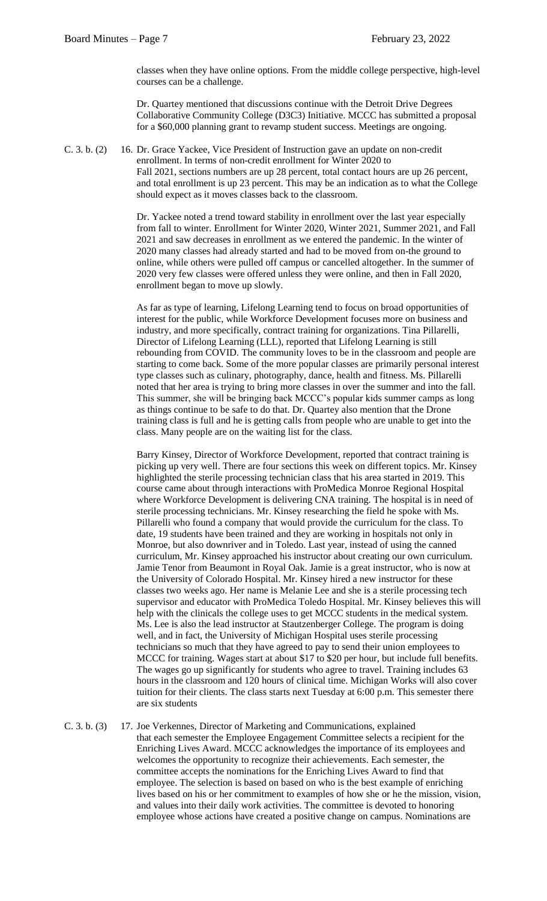classes when they have online options. From the middle college perspective, high-level courses can be a challenge.

Dr. Quartey mentioned that discussions continue with the Detroit Drive Degrees Collaborative Community College (D3C3) Initiative. MCCC has submitted a proposal for a \$60,000 planning grant to revamp student success. Meetings are ongoing.

C. 3. b. (2) 16. Dr. Grace Yackee, Vice President of Instruction gave an update on non-credit enrollment. In terms of non-credit enrollment for Winter 2020 to Fall 2021, sections numbers are up 28 percent, total contact hours are up 26 percent, and total enrollment is up 23 percent. This may be an indication as to what the College should expect as it moves classes back to the classroom.

> Dr. Yackee noted a trend toward stability in enrollment over the last year especially from fall to winter. Enrollment for Winter 2020, Winter 2021, Summer 2021, and Fall 2021 and saw decreases in enrollment as we entered the pandemic. In the winter of 2020 many classes had already started and had to be moved from on-the ground to online, while others were pulled off campus or cancelled altogether. In the summer of 2020 very few classes were offered unless they were online, and then in Fall 2020, enrollment began to move up slowly.

> As far as type of learning, Lifelong Learning tend to focus on broad opportunities of interest for the public, while Workforce Development focuses more on business and industry, and more specifically, contract training for organizations. Tina Pillarelli, Director of Lifelong Learning (LLL), reported that Lifelong Learning is still rebounding from COVID. The community loves to be in the classroom and people are starting to come back. Some of the more popular classes are primarily personal interest type classes such as culinary, photography, dance, health and fitness. Ms. Pillarelli noted that her area is trying to bring more classes in over the summer and into the fall. This summer, she will be bringing back MCCC's popular kids summer camps as long as things continue to be safe to do that. Dr. Quartey also mention that the Drone training class is full and he is getting calls from people who are unable to get into the class. Many people are on the waiting list for the class.

> Barry Kinsey, Director of Workforce Development, reported that contract training is picking up very well. There are four sections this week on different topics. Mr. Kinsey highlighted the sterile processing technician class that his area started in 2019. This course came about through interactions with ProMedica Monroe Regional Hospital where Workforce Development is delivering CNA training. The hospital is in need of sterile processing technicians. Mr. Kinsey researching the field he spoke with Ms. Pillarelli who found a company that would provide the curriculum for the class. To date, 19 students have been trained and they are working in hospitals not only in Monroe, but also downriver and in Toledo. Last year, instead of using the canned curriculum, Mr. Kinsey approached his instructor about creating our own curriculum. Jamie Tenor from Beaumont in Royal Oak. Jamie is a great instructor, who is now at the University of Colorado Hospital. Mr. Kinsey hired a new instructor for these classes two weeks ago. Her name is Melanie Lee and she is a sterile processing tech supervisor and educator with ProMedica Toledo Hospital. Mr. Kinsey believes this will help with the clinicals the college uses to get MCCC students in the medical system. Ms. Lee is also the lead instructor at Stautzenberger College. The program is doing well, and in fact, the University of Michigan Hospital uses sterile processing technicians so much that they have agreed to pay to send their union employees to MCCC for training. Wages start at about \$17 to \$20 per hour, but include full benefits. The wages go up significantly for students who agree to travel. Training includes 63 hours in the classroom and 120 hours of clinical time. Michigan Works will also cover tuition for their clients. The class starts next Tuesday at 6:00 p.m. This semester there are six students

C. 3. b. (3) 17. Joe Verkennes, Director of Marketing and Communications, explained that each semester the Employee Engagement Committee selects a recipient for the Enriching Lives Award. MCCC acknowledges the importance of its employees and welcomes the opportunity to recognize their achievements. Each semester, the committee accepts the nominations for the Enriching Lives Award to find that employee. The selection is based on based on who is the best example of enriching lives based on his or her commitment to examples of how she or he the mission, vision, and values into their daily work activities. The committee is devoted to honoring employee whose actions have created a positive change on campus. Nominations are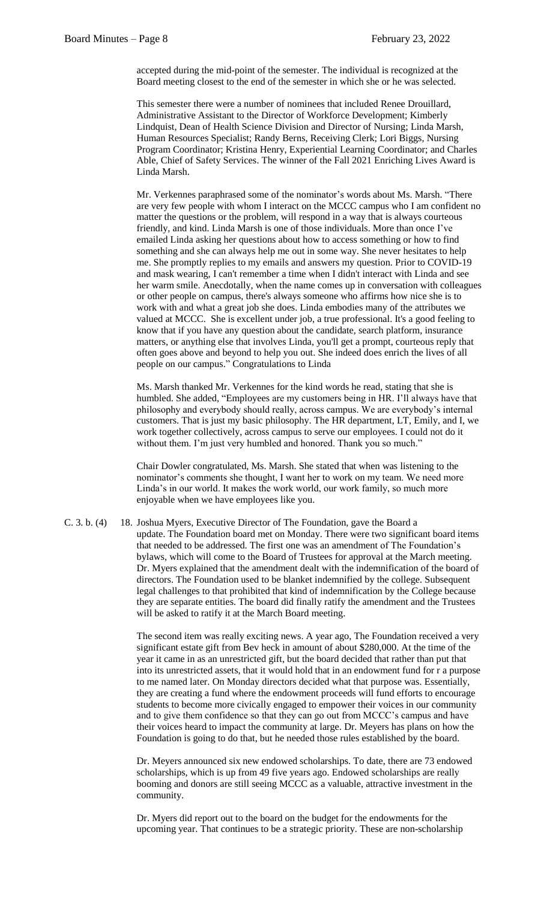accepted during the mid-point of the semester. The individual is recognized at the Board meeting closest to the end of the semester in which she or he was selected.

This semester there were a number of nominees that included Renee Drouillard, Administrative Assistant to the Director of Workforce Development; Kimberly Lindquist, Dean of Health Science Division and Director of Nursing; Linda Marsh, Human Resources Specialist; Randy Berns, Receiving Clerk; Lori Biggs, Nursing Program Coordinator; Kristina Henry, Experiential Learning Coordinator; and Charles Able, Chief of Safety Services. The winner of the Fall 2021 Enriching Lives Award is Linda Marsh.

Mr. Verkennes paraphrased some of the nominator's words about Ms. Marsh. "There are very few people with whom I interact on the MCCC campus who I am confident no matter the questions or the problem, will respond in a way that is always courteous friendly, and kind. Linda Marsh is one of those individuals. More than once I've emailed Linda asking her questions about how to access something or how to find something and she can always help me out in some way. She never hesitates to help me. She promptly replies to my emails and answers my question. Prior to COVID-19 and mask wearing, I can't remember a time when I didn't interact with Linda and see her warm smile. Anecdotally, when the name comes up in conversation with colleagues or other people on campus, there's always someone who affirms how nice she is to work with and what a great job she does. Linda embodies many of the attributes we valued at MCCC. She is excellent under job, a true professional. It's a good feeling to know that if you have any question about the candidate, search platform, insurance matters, or anything else that involves Linda, you'll get a prompt, courteous reply that often goes above and beyond to help you out. She indeed does enrich the lives of all people on our campus." Congratulations to Linda

Ms. Marsh thanked Mr. Verkennes for the kind words he read, stating that she is humbled. She added, "Employees are my customers being in HR. I'll always have that philosophy and everybody should really, across campus. We are everybody's internal customers. That is just my basic philosophy. The HR department, LT, Emily, and I, we work together collectively, across campus to serve our employees. I could not do it without them. I'm just very humbled and honored. Thank you so much."

Chair Dowler congratulated, Ms. Marsh. She stated that when was listening to the nominator's comments she thought, I want her to work on my team. We need more Linda's in our world. It makes the work world, our work family, so much more enjoyable when we have employees like you.

C. 3. b. (4) 18. Joshua Myers, Executive Director of The Foundation, gave the Board a update. The Foundation board met on Monday. There were two significant board items that needed to be addressed. The first one was an amendment of The Foundation's bylaws, which will come to the Board of Trustees for approval at the March meeting. Dr. Myers explained that the amendment dealt with the indemnification of the board of directors. The Foundation used to be blanket indemnified by the college. Subsequent legal challenges to that prohibited that kind of indemnification by the College because they are separate entities. The board did finally ratify the amendment and the Trustees will be asked to ratify it at the March Board meeting.

> The second item was really exciting news. A year ago, The Foundation received a very significant estate gift from Bev heck in amount of about \$280,000. At the time of the year it came in as an unrestricted gift, but the board decided that rather than put that into its unrestricted assets, that it would hold that in an endowment fund for r a purpose to me named later. On Monday directors decided what that purpose was. Essentially, they are creating a fund where the endowment proceeds will fund efforts to encourage students to become more civically engaged to empower their voices in our community and to give them confidence so that they can go out from MCCC's campus and have their voices heard to impact the community at large. Dr. Meyers has plans on how the Foundation is going to do that, but he needed those rules established by the board.

Dr. Meyers announced six new endowed scholarships. To date, there are 73 endowed scholarships, which is up from 49 five years ago. Endowed scholarships are really booming and donors are still seeing MCCC as a valuable, attractive investment in the community.

Dr. Myers did report out to the board on the budget for the endowments for the upcoming year. That continues to be a strategic priority. These are non-scholarship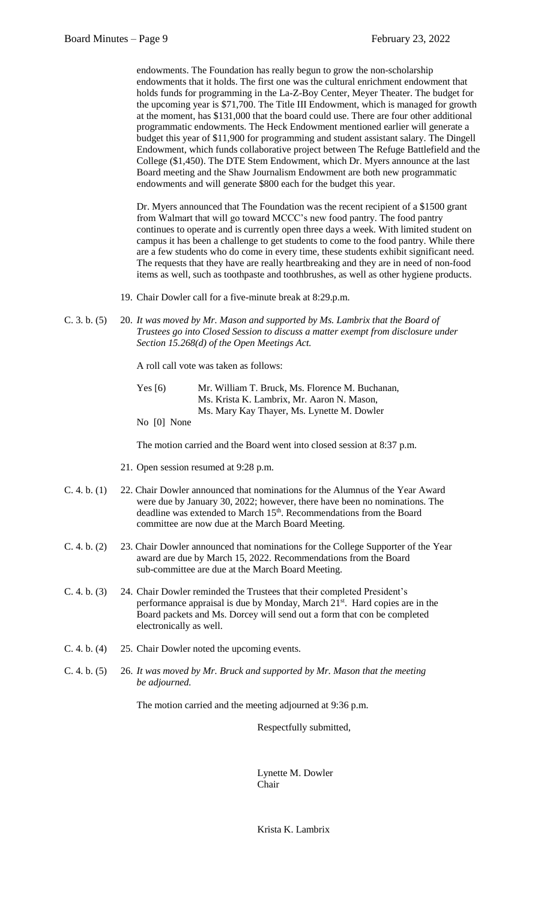endowments. The Foundation has really begun to grow the non-scholarship endowments that it holds. The first one was the cultural enrichment endowment that holds funds for programming in the La-Z-Boy Center, Meyer Theater. The budget for the upcoming year is \$71,700. The Title III Endowment, which is managed for growth at the moment, has \$131,000 that the board could use. There are four other additional programmatic endowments. The Heck Endowment mentioned earlier will generate a budget this year of \$11,900 for programming and student assistant salary. The Dingell Endowment, which funds collaborative project between The Refuge Battlefield and the College (\$1,450). The DTE Stem Endowment, which Dr. Myers announce at the last Board meeting and the Shaw Journalism Endowment are both new programmatic endowments and will generate \$800 each for the budget this year.

Dr. Myers announced that The Foundation was the recent recipient of a \$1500 grant from Walmart that will go toward MCCC's new food pantry. The food pantry continues to operate and is currently open three days a week. With limited student on campus it has been a challenge to get students to come to the food pantry. While there are a few students who do come in every time, these students exhibit significant need. The requests that they have are really heartbreaking and they are in need of non-food items as well, such as toothpaste and toothbrushes, as well as other hygiene products.

- 19. Chair Dowler call for a five-minute break at 8:29.p.m.
- C. 3. b. (5) 20. *It was moved by Mr. Mason and supported by Ms. Lambrix that the Board of Trustees go into Closed Session to discuss a matter exempt from disclosure under Section 15.268(d) of the Open Meetings Act.*

A roll call vote was taken as follows:

| Yes $\lceil 6 \rceil$ | Mr. William T. Bruck, Ms. Florence M. Buchanan, |
|-----------------------|-------------------------------------------------|
|                       | Ms. Krista K. Lambrix, Mr. Aaron N. Mason,      |
|                       | Ms. Mary Kay Thayer, Ms. Lynette M. Dowler      |

No [0] None

The motion carried and the Board went into closed session at 8:37 p.m.

- 21. Open session resumed at 9:28 p.m.
- C. 4. b. (1) 22. Chair Dowler announced that nominations for the Alumnus of the Year Award were due by January 30, 2022; however, there have been no nominations. The deadline was extended to March 15<sup>th</sup>. Recommendations from the Board committee are now due at the March Board Meeting.
- C. 4. b. (2) 23. Chair Dowler announced that nominations for the College Supporter of the Year award are due by March 15, 2022. Recommendations from the Board sub-committee are due at the March Board Meeting.
- C. 4. b. (3) 24. Chair Dowler reminded the Trustees that their completed President's performance appraisal is due by Monday, March 21<sup>st</sup>. Hard copies are in the Board packets and Ms. Dorcey will send out a form that con be completed electronically as well.
- C. 4. b. (4) 25. Chair Dowler noted the upcoming events.
- C. 4. b. (5) 26. *It was moved by Mr. Bruck and supported by Mr. Mason that the meeting be adjourned.*

The motion carried and the meeting adjourned at 9:36 p.m.

Respectfully submitted,

Lynette M. Dowler Chair

Krista K. Lambrix